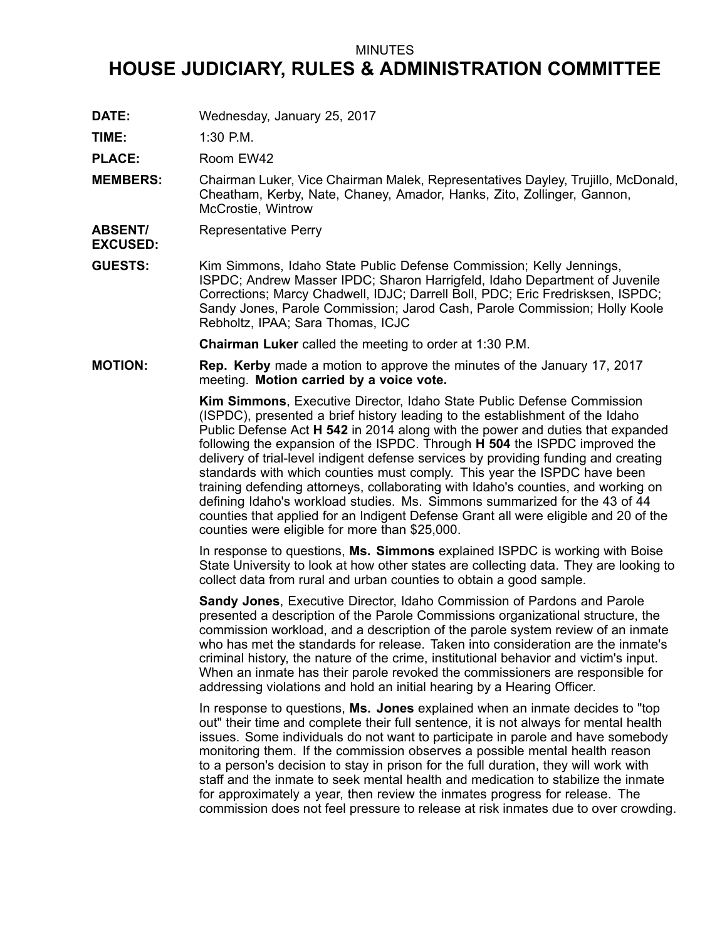## MINUTES

## **HOUSE JUDICIARY, RULES & ADMINISTRATION COMMITTEE**

**DATE:** Wednesday, January 25, 2017

**TIME:** 1:30 P.M.

PLACE: Room EW42

- **MEMBERS:** Chairman Luker, Vice Chairman Malek, Representatives Dayley, Trujillo, McDonald, Cheatham, Kerby, Nate, Chaney, Amador, Hanks, Zito, Zollinger, Gannon, McCrostie, Wintrow
- **ABSENT/** Representative Perry

**EXCUSED:**

**GUESTS:** Kim Simmons, Idaho State Public Defense Commission; Kelly Jennings, ISPDC; Andrew Masser IPDC; Sharon Harrigfeld, Idaho Department of Juvenile Corrections; Marcy Chadwell, IDJC; Darrell Boll, PDC; Eric Fredrisksen, ISPDC; Sandy Jones, Parole Commission; Jarod Cash, Parole Commission; Holly Koole Rebholtz, IPAA; Sara Thomas, ICJC

**Chairman Luker** called the meeting to order at 1:30 P.M.

**MOTION: Rep. Kerby** made <sup>a</sup> motion to approve the minutes of the January 17, 2017 meeting. **Motion carried by <sup>a</sup> voice vote.**

> **Kim Simmons**, Executive Director, Idaho State Public Defense Commission (ISPDC), presented <sup>a</sup> brief history leading to the establishment of the Idaho Public Defense Act **H 542** in 2014 along with the power and duties that expanded following the expansion of the ISPDC. Through **H 504** the ISPDC improved the delivery of trial-level indigent defense services by providing funding and creating standards with which counties must comply. This year the ISPDC have been training defending attorneys, collaborating with Idaho's counties, and working on defining Idaho's workload studies. Ms. Simmons summarized for the 43 of 44 counties that applied for an Indigent Defense Grant all were eligible and 20 of the counties were eligible for more than \$25,000.

> In response to questions, **Ms. Simmons** explained ISPDC is working with Boise State University to look at how other states are collecting data. They are looking to collect data from rural and urban counties to obtain <sup>a</sup> good sample.

**Sandy Jones**, Executive Director, Idaho Commission of Pardons and Parole presented <sup>a</sup> description of the Parole Commissions organizational structure, the commission workload, and <sup>a</sup> description of the parole system review of an inmate who has met the standards for release. Taken into consideration are the inmate's criminal history, the nature of the crime, institutional behavior and victim's input. When an inmate has their parole revoked the commissioners are responsible for addressing violations and hold an initial hearing by <sup>a</sup> Hearing Officer.

In response to questions, **Ms. Jones** explained when an inmate decides to "top out" their time and complete their full sentence, it is not always for mental health issues. Some individuals do not want to participate in parole and have somebody monitoring them. If the commission observes <sup>a</sup> possible mental health reason to <sup>a</sup> person's decision to stay in prison for the full duration, they will work with staff and the inmate to seek mental health and medication to stabilize the inmate for approximately <sup>a</sup> year, then review the inmates progress for release. The commission does not feel pressure to release at risk inmates due to over crowding.